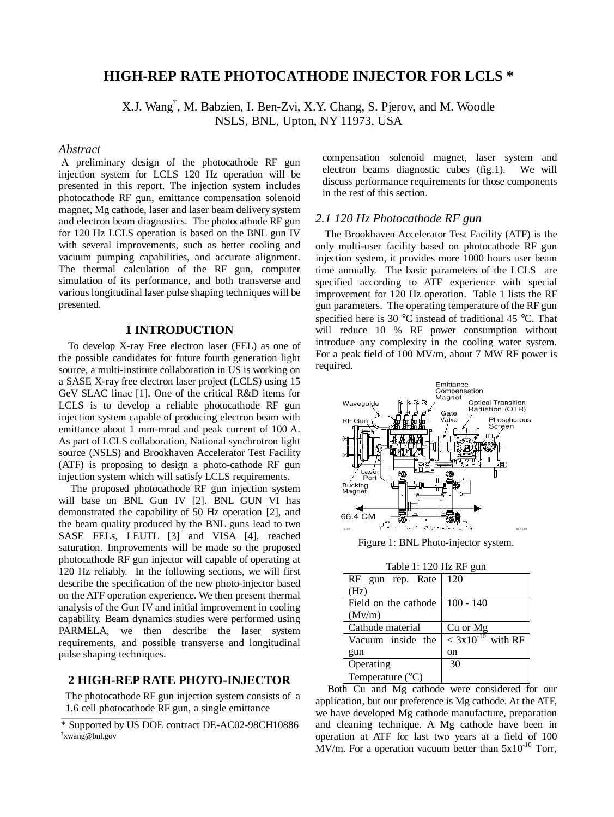# **HIGH-REP RATE PHOTOCATHODE INJECTOR FOR LCLS \***

X.J. Wang† , M. Babzien, I. Ben-Zvi, X.Y. Chang, S. Pjerov, and M. Woodle NSLS, BNL, Upton, NY 11973, USA

### *Abstract*

A preliminary design of the photocathode RF gun injection system for LCLS 120 Hz operation will be presented in this report. The injection system includes photocathode RF gun, emittance compensation solenoid magnet, Mg cathode, laser and laser beam delivery system and electron beam diagnostics. The photocathode RF gun for 120 Hz LCLS operation is based on the BNL gun IV with several improvements, such as better cooling and vacuum pumping capabilities, and accurate alignment. The thermal calculation of the RF gun, computer simulation of its performance, and both transverse and various longitudinal laser pulse shaping techniques will be presented.

# **1 INTRODUCTION**

To develop X-ray Free electron laser (FEL) as one of the possible candidates for future fourth generation light source, a multi-institute collaboration in US is working on a SASE X-ray free electron laser project (LCLS) using 15 GeV SLAC linac [1]. One of the critical R&D items for LCLS is to develop a reliable photocathode RF gun injection system capable of producing electron beam with emittance about 1 mm-mrad and peak current of 100 A. As part of LCLS collaboration, National synchrotron light source (NSLS) and Brookhaven Accelerator Test Facility (ATF) is proposing to design a photo-cathode RF gun injection system which will satisfy LCLS requirements.

The proposed photocathode RF gun injection system will base on BNL Gun IV [2]. BNL GUN VI has demonstrated the capability of 50 Hz operation [2], and the beam quality produced by the BNL guns lead to two SASE FELs, LEUTL [3] and VISA [4], reached saturation. Improvements will be made so the proposed photocathode RF gun injector will capable of operating at 120 Hz reliably. In the following sections, we will first describe the specification of the new photo-injector based on the ATF operation experience. We then present thermal analysis of the Gun IV and initial improvement in cooling capability. Beam dynamics studies were performed using PARMELA, we then describe the laser system requirements, and possible transverse and longitudinal pulse shaping techniques.

# **2 HIGH-REP RATE PHOTO-INJECTOR**

The photocathode RF gun injection system consists of a 1.6 cell photocathode RF gun, a single emittance

\_\_\_\_\_\_\_\_\_\_\_\_\_\_\_\_\_\_\_\_\_\_\_\_\_\_\_\_\_\_\_\_\_\_\_\_\_\_\_\_\_

compensation solenoid magnet, laser system and electron beams diagnostic cubes (fig.1). We will discuss performance requirements for those components in the rest of this section.

### *2.1 120 Hz Photocathode RF gun*

The Brookhaven Accelerator Test Facility (ATF) is the only multi-user facility based on photocathode RF gun injection system, it provides more 1000 hours user beam time annually. The basic parameters of the LCLS are specified according to ATF experience with special improvement for 120 Hz operation. Table 1 lists the RF gun parameters. The operating temperature of the RF gun specified here is 30 °C instead of traditional 45 °C. That will reduce 10 % RF power consumption without introduce any complexity in the cooling water system. For a peak field of 100 MV/m, about 7 MW RF power is required.



Figure 1: BNL Photo-injector system.

| $1$ avie 1. $120$ Hz NF guil |                        |  |
|------------------------------|------------------------|--|
| RF gun rep. Rate             | 120                    |  |
| (Hz)                         |                        |  |
| Field on the cathode         | $100 - 140$            |  |
| (Mv/m)                       |                        |  |
| Cathode material             | Cu or Mg               |  |
| Vacuum inside the            | $< 3x10^{-10}$ with RF |  |
| gun                          | on                     |  |
| Operating                    | 30                     |  |
| Temperature $(^{\circ}C)$    |                        |  |

 $Table 1:120 Hz$  RF  $g_{\text{UB}}$ 

Both Cu and Mg cathode were considered for our application, but our preference is Mg cathode. At the ATF, we have developed Mg cathode manufacture, preparation and cleaning technique. A Mg cathode have been in operation at ATF for last two years at a field of 100 MV/m. For a operation vacuum better than  $5x10^{-10}$  Torr,

<sup>\*</sup> Supported by US DOE contract DE-AC02-98CH10886 † xwang@bnl.gov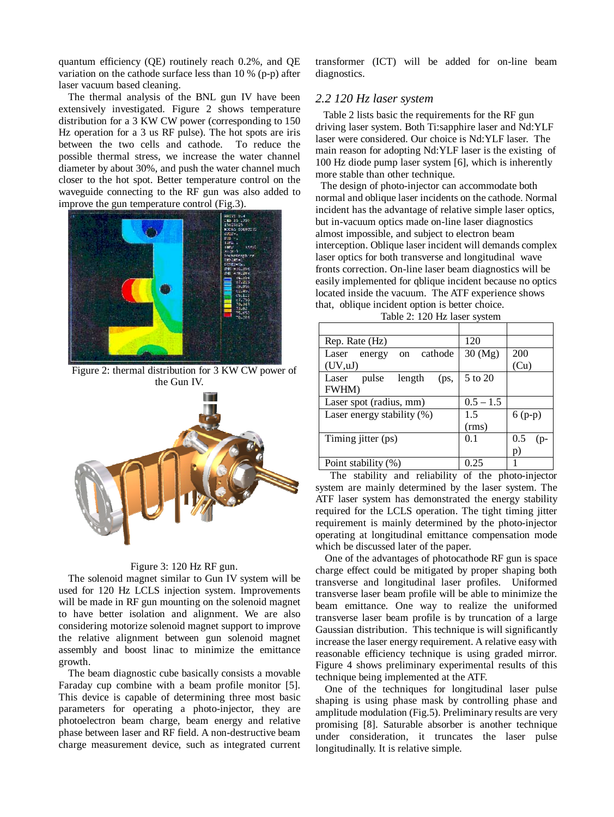quantum efficiency (QE) routinely reach 0.2%, and QE variation on the cathode surface less than 10 % (p-p) after laser vacuum based cleaning.

The thermal analysis of the BNL gun IV have been extensively investigated. Figure 2 shows temperature distribution for a 3 KW CW power (corresponding to 150 Hz operation for a 3 us RF pulse). The hot spots are iris between the two cells and cathode. To reduce the possible thermal stress, we increase the water channel diameter by about 30%, and push the water channel much closer to the hot spot. Better temperature control on the waveguide connecting to the RF gun was also added to improve the gun temperature control (Fig.3).



Figure 2: thermal distribution for 3 KW CW power of the Gun IV.



#### Figure 3: 120 Hz RF gun.

The solenoid magnet similar to Gun IV system will be used for 120 Hz LCLS injection system. Improvements will be made in RF gun mounting on the solenoid magnet to have better isolation and alignment. We are also considering motorize solenoid magnet support to improve the relative alignment between gun solenoid magnet assembly and boost linac to minimize the emittance growth.

The beam diagnostic cube basically consists a movable Faraday cup combine with a beam profile monitor [5]. This device is capable of determining three most basic parameters for operating a photo-injector, they are photoelectron beam charge, beam energy and relative phase between laser and RF field. A non-destructive beam charge measurement device, such as integrated current transformer (ICT) will be added for on-line beam diagnostics.

### *2.2 120 Hz laser system*

Table 2 lists basic the requirements for the RF gun driving laser system. Both Ti:sapphire laser and Nd:YLF laser were considered. Our choice is Nd:YLF laser. The main reason for adopting Nd:YLF laser is the existing of 100 Hz diode pump laser system [6], which is inherently more stable than other technique.

The design of photo-injector can accommodate both normal and oblique laser incidents on the cathode. Normal incident has the advantage of relative simple laser optics, but in-vacuum optics made on-line laser diagnostics almost impossible, and subject to electron beam interception. Oblique laser incident will demands complex laser optics for both transverse and longitudinal wave fronts correction. On-line laser beam diagnostics will be easily implemented for qblique incident because no optics located inside the vacuum. The ATF experience shows that, oblique incident option is better choice.

| Rep. Rate (Hz)                   | 120          |            |  |
|----------------------------------|--------------|------------|--|
| cathode<br>Laser<br>energy<br>on | $30 \, (Mg)$ | 200        |  |
| (UV, uJ)                         |              | (Cu)       |  |
| pulse<br>length<br>Laser<br>(ps, | 5 to 20      |            |  |
| <b>FWHM</b> )                    |              |            |  |
| Laser spot (radius, mm)          | $0.5 - 1.5$  |            |  |
| Laser energy stability $(\%)$    | 1.5          | $6(p-p)$   |  |
|                                  | (rms)        |            |  |
| Timing jitter (ps)               | 0.1          | 0.5<br>(p- |  |
|                                  |              | p)         |  |
| Point stability (%)              | 0.25         |            |  |

The stability and reliability of the photo-injector system are mainly determined by the laser system. The ATF laser system has demonstrated the energy stability required for the LCLS operation. The tight timing jitter requirement is mainly determined by the photo-injector operating at longitudinal emittance compensation mode which be discussed later of the paper.

One of the advantages of photocathode RF gun is space charge effect could be mitigated by proper shaping both transverse and longitudinal laser profiles. Uniformed transverse laser beam profile will be able to minimize the beam emittance. One way to realize the uniformed transverse laser beam profile is by truncation of a large Gaussian distribution. This technique is will significantly increase the laser energy requirement. A relative easy with reasonable efficiency technique is using graded mirror. Figure 4 shows preliminary experimental results of this technique being implemented at the ATF.

One of the techniques for longitudinal laser pulse shaping is using phase mask by controlling phase and amplitude modulation (Fig.5). Preliminary results are very promising [8]. Saturable absorber is another technique under consideration, it truncates the laser pulse longitudinally. It is relative simple.